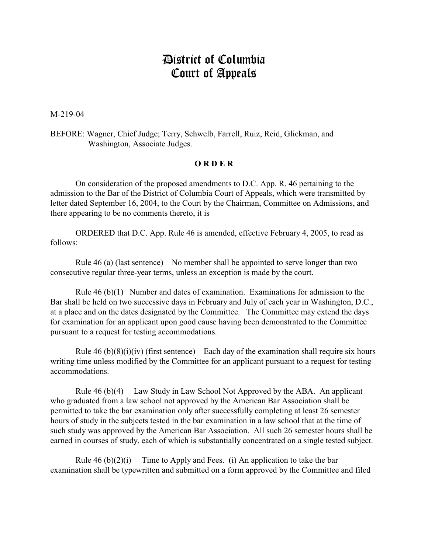## District of Columbia Court of Appeals

M-219-04

BEFORE: Wagner, Chief Judge; Terry, Schwelb, Farrell, Ruiz, Reid, Glickman, and Washington, Associate Judges.

## **O R D E R**

On consideration of the proposed amendments to D.C. App. R. 46 pertaining to the admission to the Bar of the District of Columbia Court of Appeals, which were transmitted by letter dated September 16, 2004, to the Court by the Chairman, Committee on Admissions, and there appearing to be no comments thereto, it is

ORDERED that D.C. App. Rule 46 is amended, effective February 4, 2005, to read as follows:

Rule 46 (a) (last sentence) No member shall be appointed to serve longer than two consecutive regular three-year terms, unless an exception is made by the court.

Rule 46 (b)(1) Number and dates of examination. Examinations for admission to the Bar shall be held on two successive days in February and July of each year in Washington, D.C., at a place and on the dates designated by the Committee. The Committee may extend the days for examination for an applicant upon good cause having been demonstrated to the Committee pursuant to a request for testing accommodations.

Rule  $46$  (b)(8)(i)(iv) (first sentence) Each day of the examination shall require six hours writing time unless modified by the Committee for an applicant pursuant to a request for testing accommodations.

Rule 46 (b)(4) Law Study in Law School Not Approved by the ABA. An applicant who graduated from a law school not approved by the American Bar Association shall be permitted to take the bar examination only after successfully completing at least 26 semester hours of study in the subjects tested in the bar examination in a law school that at the time of such study was approved by the American Bar Association. All such 26 semester hours shall be earned in courses of study, each of which is substantially concentrated on a single tested subject.

Rule  $46$  (b) $(2)(i)$  Time to Apply and Fees. (i) An application to take the bar examination shall be typewritten and submitted on a form approved by the Committee and filed